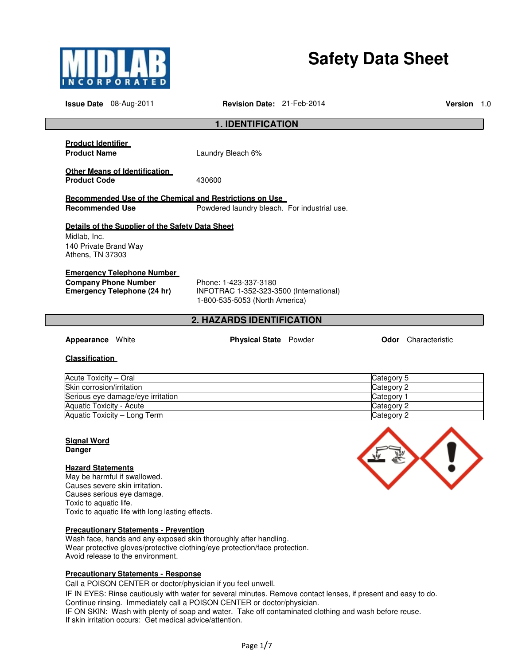

# **Safety Data Sheet**

**Issue Date** 08-Aug-2011 **Revision Date:** 21-Feb-2014 **Version** 1.0 **1. IDENTIFICATION Product Identifier Product Name** Laundry Bleach 6% **Other Means of Identification**  Product Code 430600 **Recommended Use of the Chemical and Restrictions on Use Recommended Use The Set All Powdered laundry bleach. For industrial use. Details of the Supplier of the Safety Data Sheet**  Midlab, Inc. 140 Private Brand Way Athens, TN 37303 **Emergency Telephone Number Company Phone Number** Phone: 1-423-337-3180<br> **Emergency Telephone (24 hr)** INFOTRAC 1-352-323-3 **Emergency Telephone (24 hr)** INFOTRAC 1-352-323-3500 (International) 1-800-535-5053 (North America) **2. HAZARDS IDENTIFICATION**

**Appearance** White **Physical State** Powder **Odor** Characteristic

#### **Classification**

| Acute Toxicity – Oral             | Category 5 |
|-----------------------------------|------------|
| Skin corrosion/irritation         | Category 2 |
| Serious eye damage/eye irritation | Category 1 |
| Aquatic Toxicity - Acute          | Category 2 |
| Aquatic Toxicity – Long Term      | Category 2 |

#### **Signal Word Danger**

### **Hazard Statements**

May be harmful if swallowed. Causes severe skin irritation. Causes serious eye damage. Toxic to aquatic life. Toxic to aquatic life with long lasting effects.

#### **Precautionary Statements - Prevention**

Wash face, hands and any exposed skin thoroughly after handling. Wear protective gloves/protective clothing/eye protection/face protection. Avoid release to the environment.

#### **Precautionary Statements - Response**

Call a POISON CENTER or doctor/physician if you feel unwell.

IF IN EYES: Rinse cautiously with water for several minutes. Remove contact lenses, if present and easy to do. Continue rinsing. Immediately call a POISON CENTER or doctor/physician.

IF ON SKIN: Wash with plenty of soap and water. Take off contaminated clothing and wash before reuse. If skin irritation occurs: Get medical advice/attention.

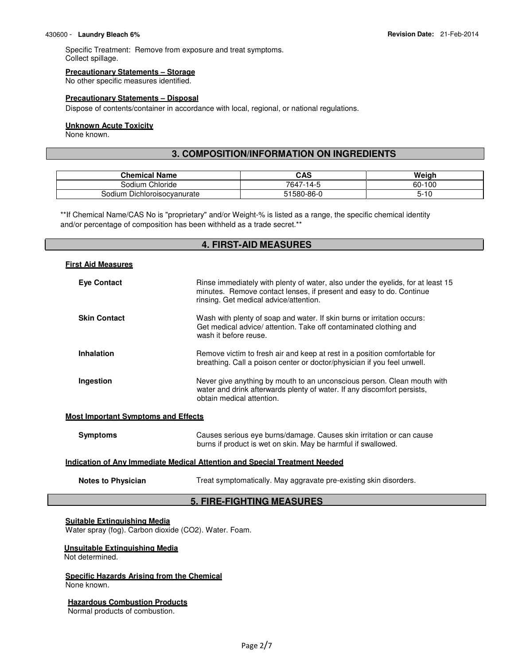Specific Treatment: Remove from exposure and treat symptoms. Collect spillage.

#### **Precautionary Statements – Storage**

No other specific measures identified.

#### **Precautionary Statements – Disposal**

Dispose of contents/container in accordance with local, regional, or national regulations.

#### **Unknown Acute Toxicity**

None known.

# **3. COMPOSITION/INFORMATION ON INGREDIENTS**

| Chemical Name                      | CAS            | Weiah     |
|------------------------------------|----------------|-----------|
| Chloride<br>-Sodium '              | 7647<br>$-14-$ | 60-100    |
| n Dichloroisocvanurate<br>Sodium ! | 51580-86-0     | 10۰<br>၁- |

\*\*If Chemical Name/CAS No is "proprietary" and/or Weight-% is listed as a range, the specific chemical identity and/or percentage of composition has been withheld as a trade secret.\*\*

# **4. FIRST-AID MEASURES**

| <b>First Aid Measures</b>                                                         |                                                                                                                                                                                                  |  |
|-----------------------------------------------------------------------------------|--------------------------------------------------------------------------------------------------------------------------------------------------------------------------------------------------|--|
| <b>Eye Contact</b>                                                                | Rinse immediately with plenty of water, also under the eyelids, for at least 15<br>minutes. Remove contact lenses, if present and easy to do. Continue<br>rinsing. Get medical advice/attention. |  |
| <b>Skin Contact</b>                                                               | Wash with plenty of soap and water. If skin burns or irritation occurs:<br>Get medical advice/ attention. Take off contaminated clothing and<br>wash it before reuse.                            |  |
| <b>Inhalation</b>                                                                 | Remove victim to fresh air and keep at rest in a position comfortable for<br>breathing. Call a poison center or doctor/physician if you feel unwell.                                             |  |
| Ingestion                                                                         | Never give anything by mouth to an unconscious person. Clean mouth with<br>water and drink afterwards plenty of water. If any discomfort persists,<br>obtain medical attention.                  |  |
| <b>Most Important Symptoms and Effects</b>                                        |                                                                                                                                                                                                  |  |
| <b>Symptoms</b>                                                                   | Causes serious eye burns/damage. Causes skin irritation or can cause<br>burns if product is wet on skin. May be harmful if swallowed.                                                            |  |
| <u>Indication of Any Immediate Medical Attention and Special Treatment Needed</u> |                                                                                                                                                                                                  |  |
| <b>Notes to Physician</b>                                                         | Treat symptomatically. May aggravate pre-existing skin disorders.                                                                                                                                |  |

# **5. FIRE-FIGHTING MEASURES**

# **Suitable Extinguishing Media**

Water spray (fog). Carbon dioxide (CO2). Water. Foam.

#### **Unsuitable Extinguishing Media**

Not determined.

#### **Specific Hazards Arising from the Chemical** None known.

#### **Hazardous Combustion Products**

Normal products of combustion.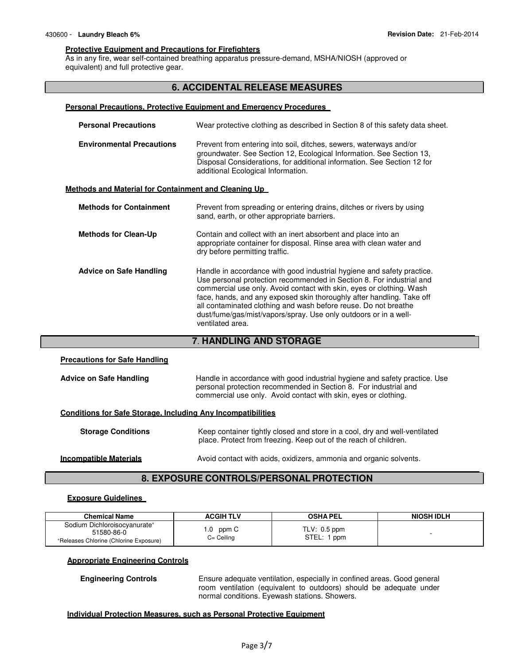#### **Protective Equipment and Precautions for Firefighters**

As in any fire, wear self-contained breathing apparatus pressure-demand, MSHA/NIOSH (approved or equivalent) and full protective gear.

# **6. ACCIDENTAL RELEASE MEASURES**

#### **Personal Precautions, Protective Equipment and Emergency Procedures**

| <b>Personal Precautions</b>                                 | Wear protective clothing as described in Section 8 of this safety data sheet.                                                                                                                                                                                                                                                                                                                                                                              |
|-------------------------------------------------------------|------------------------------------------------------------------------------------------------------------------------------------------------------------------------------------------------------------------------------------------------------------------------------------------------------------------------------------------------------------------------------------------------------------------------------------------------------------|
| <b>Environmental Precautions</b>                            | Prevent from entering into soil, ditches, sewers, waterways and/or<br>groundwater. See Section 12, Ecological Information. See Section 13,<br>Disposal Considerations, for additional information. See Section 12 for<br>additional Ecological Information.                                                                                                                                                                                                |
| <u>Methods and Material for Containment and Cleaning Up</u> |                                                                                                                                                                                                                                                                                                                                                                                                                                                            |
| <b>Methods for Containment</b>                              | Prevent from spreading or entering drains, ditches or rivers by using<br>sand, earth, or other appropriate barriers.                                                                                                                                                                                                                                                                                                                                       |
| <b>Methods for Clean-Up</b>                                 | Contain and collect with an inert absorbent and place into an<br>appropriate container for disposal. Rinse area with clean water and<br>dry before permitting traffic.                                                                                                                                                                                                                                                                                     |
| <b>Advice on Safe Handling</b>                              | Handle in accordance with good industrial hygiene and safety practice.<br>Use personal protection recommended in Section 8. For industrial and<br>commercial use only. Avoid contact with skin, eyes or clothing. Wash<br>face, hands, and any exposed skin thoroughly after handling. Take off<br>all contaminated clothing and wash before reuse. Do not breathe<br>dust/fume/gas/mist/vapors/spray. Use only outdoors or in a well-<br>ventilated area. |

# **7**. **HANDLING AND STORAGE**

# **Precautions for Safe Handling Advice on Safe Handling** Handle in accordance with good industrial hygiene and safety practice. Use personal protection recommended in Section 8. For industrial and commercial use only. Avoid contact with skin, eyes or clothing. **Conditions for Safe Storage, Including Any Incompatibilities Storage Conditions Keep container tightly closed and store in a cool, dry and well-ventilated** place. Protect from freezing. Keep out of the reach of children. **Incompatible Materials Avoid contact with acids, oxidizers, ammonia and organic solvents.**

# **8. EXPOSURE CONTROLS/PERSONAL PROTECTION**

# **Exposure Guidelines**

| <b>Chemical Name</b>                     | <b>ACGIH TLV</b> | <b>OSHA PEL</b> | NIOSH IDLH |
|------------------------------------------|------------------|-----------------|------------|
| Sodium Dichloroisocyanurate <sup>+</sup> | ppm C            | $TLV: 0.5$ ppm  |            |
| 51580-86-0                               | . . 0            | STEL:           |            |
| *Releases Chlorine (Chlorine Exposure)   | $C = Ceiling$    | ppm             |            |

#### **Appropriate Engineering Controls**

**Engineering Controls Ensure adequate ventilation, especially in confined areas. Good general** room ventilation (equivalent to outdoors) should be adequate under normal conditions. Eyewash stations. Showers.

#### **Individual Protection Measures, such as Personal Protective Equipment**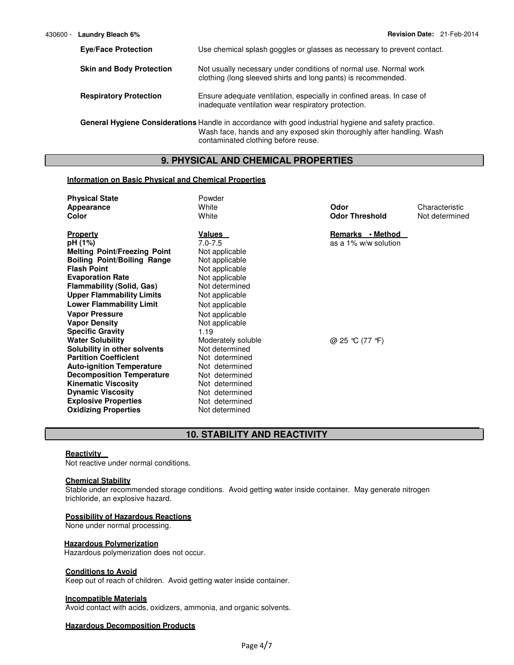| <b>Eve/Face Protection</b>      | Use chemical splash goggles or glasses as necessary to prevent contact.                                                                                                        |
|---------------------------------|--------------------------------------------------------------------------------------------------------------------------------------------------------------------------------|
| <b>Skin and Body Protection</b> | Not usually necessary under conditions of normal use. Normal work<br>clothing (long sleeved shirts and long pants) is recommended.                                             |
| <b>Respiratory Protection</b>   | Ensure adequate ventilation, especially in confined areas. In case of<br>inadequate ventilation wear respiratory protection.                                                   |
|                                 | General Hygiene Considerations Handle in accordance with good industrial hygiene and safety practice.<br>Wash face, hands and any exposed skin thoroughly after handling. Wash |

**9. PHYSICAL AND CHEMICAL PROPERTIES**

contaminated clothing before reuse.

#### **Information on Basic Physical and Chemical Properties**

| <b>Physical State</b>               | Powder             |                       |                |
|-------------------------------------|--------------------|-----------------------|----------------|
| Appearance                          | White              | Odor                  | Characteristic |
| Color                               | White              | <b>Odor Threshold</b> | Not determined |
|                                     |                    |                       |                |
| <b>Property</b>                     | Values             | Remarks • Method      |                |
| pH (1%)                             | $7.0 - 7.5$        | as a 1% w/w solution  |                |
| <b>Melting Point/Freezing Point</b> | Not applicable     |                       |                |
| <b>Boiling Point/Boiling Range</b>  | Not applicable     |                       |                |
| <b>Flash Point</b>                  | Not applicable     |                       |                |
| <b>Evaporation Rate</b>             | Not applicable     |                       |                |
| <b>Flammability (Solid, Gas)</b>    | Not determined     |                       |                |
| <b>Upper Flammability Limits</b>    | Not applicable     |                       |                |
| <b>Lower Flammability Limit</b>     | Not applicable     |                       |                |
| <b>Vapor Pressure</b>               | Not applicable     |                       |                |
| <b>Vapor Density</b>                | Not applicable     |                       |                |
| <b>Specific Gravity</b>             | 1.19               |                       |                |
| <b>Water Solubility</b>             | Moderately soluble | @ 25 °C (77 °F)       |                |
| Solubility in other solvents        | Not determined     |                       |                |
| <b>Partition Coefficient</b>        | Not determined     |                       |                |
| <b>Auto-ignition Temperature</b>    | Not determined     |                       |                |
| <b>Decomposition Temperature</b>    | Not determined     |                       |                |
| <b>Kinematic Viscosity</b>          | Not determined     |                       |                |
| <b>Dynamic Viscosity</b>            | Not determined     |                       |                |
| <b>Explosive Properties</b>         | Not determined     |                       |                |
| <b>Oxidizing Properties</b>         | Not determined     |                       |                |

# **10. STABILITY AND REACTIVITY**

#### **Reactivity**

Not reactive under normal conditions.

#### **Chemical Stability**

Stable under recommended storage conditions. Avoid getting water inside container. May generate nitrogen trichloride, an explosive hazard.

# **Possibility of Hazardous Reactions**

None under normal processing.

#### **Hazardous Polymerization**

Hazardous polymerization does not occur.

# **Conditions to Avoid**

Keep out of reach of children. Avoid getting water inside container.

#### **Incompatible Materials**

Avoid contact with acids, oxidizers, ammonia, and organic solvents.

#### **Hazardous Decomposition Products**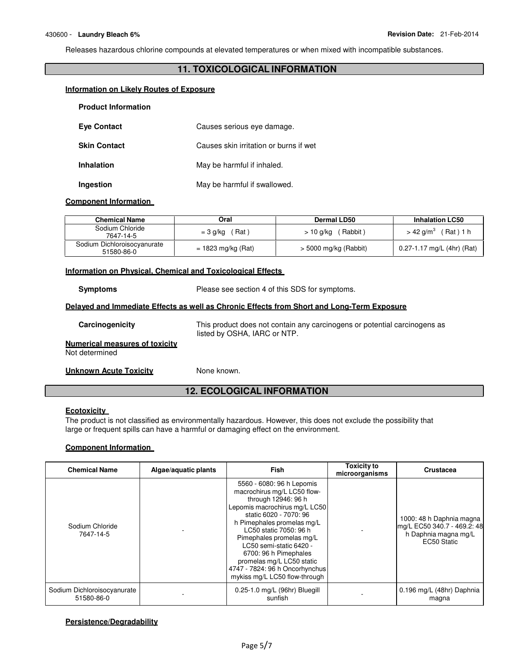Releases hazardous chlorine compounds at elevated temperatures or when mixed with incompatible substances.

# **11. TOXICOLOGICAL INFORMATION**

#### **Information on Likely Routes of Exposure**

| <b>Product Information</b> |                                        |
|----------------------------|----------------------------------------|
| <b>Eve Contact</b>         | Causes serious eye damage.             |
| <b>Skin Contact</b>        | Causes skin irritation or burns if wet |
| <b>Inhalation</b>          | May be harmful if inhaled.             |
| Ingestion                  | May be harmful if swallowed.           |

#### **Component Information**

| <b>Chemical Name</b>                      | Oral                      | Dermal LD50             | <b>Inhalation LC50</b>               |
|-------------------------------------------|---------------------------|-------------------------|--------------------------------------|
| Sodium Chloride<br>7647-14-5              | $($ Rat $)$<br>$= 3$ g/kg | ′ Rabbit )<br>> 10 g/kg | Rat ) 1 h<br>$>$ 42 g/m <sup>3</sup> |
| Sodium Dichloroisocyanurate<br>51580-86-0 | $= 1823$ mg/kg (Rat)      | $>$ 5000 mg/kg (Rabbit) | 0.27-1.17 mg/L (4hr) (Rat)           |

#### **Information on Physical, Chemical and Toxicological Effects**

**Symptoms** Please see section 4 of this SDS for symptoms.

#### **Delayed and Immediate Effects as well as Chronic Effects from Short and Long-Term Exposure**

| Carcinogenicity                                         | This product does not contain any carcinogens or potential carcinogens as<br>listed by OSHA, IARC or NTP. |
|---------------------------------------------------------|-----------------------------------------------------------------------------------------------------------|
| <b>Numerical measures of toxicity</b><br>Not determined |                                                                                                           |
| Unknown Acute Toxicity                                  | None known.                                                                                               |

# **12. ECOLOGICAL INFORMATION**

# **Ecotoxicity**

The product is not classified as environmentally hazardous. However, this does not exclude the possibility that large or frequent spills can have a harmful or damaging effect on the environment.

#### **Component Information**

| <b>Chemical Name</b>                      | Algae/aquatic plants | <b>Fish</b>                                                                                                                                                                                                                                                                                                                                                                        | <b>Toxicity to</b><br>microorganisms | <b>Crustacea</b>                                                                               |
|-------------------------------------------|----------------------|------------------------------------------------------------------------------------------------------------------------------------------------------------------------------------------------------------------------------------------------------------------------------------------------------------------------------------------------------------------------------------|--------------------------------------|------------------------------------------------------------------------------------------------|
| Sodium Chloride<br>7647-14-5              |                      | 5560 - 6080: 96 h Lepomis<br>macrochirus mg/L LC50 flow-<br>through 12946: 96 h<br>Lepomis macrochirus mg/L LC50<br>static 6020 - 7070: 96<br>h Pimephales promelas mg/L<br>LC50 static 7050: 96 h<br>Pimephales promelas mg/L<br>LC50 semi-static 6420 -<br>6700: 96 h Pimephales<br>promelas mg/L LC50 static<br>4747 - 7824: 96 h Oncorhynchus<br>mykiss mg/L LC50 flow-through |                                      | 1000: 48 h Daphnia magna<br>mg/L EC50 340.7 - 469.2: 48<br>h Daphnia magna mg/L<br>EC50 Static |
| Sodium Dichloroisocyanurate<br>51580-86-0 |                      | 0.25-1.0 mg/L (96hr) Bluegill<br>sunfish                                                                                                                                                                                                                                                                                                                                           |                                      | 0.196 mg/L (48hr) Daphnia<br>magna                                                             |

#### **Persistence/Degradability**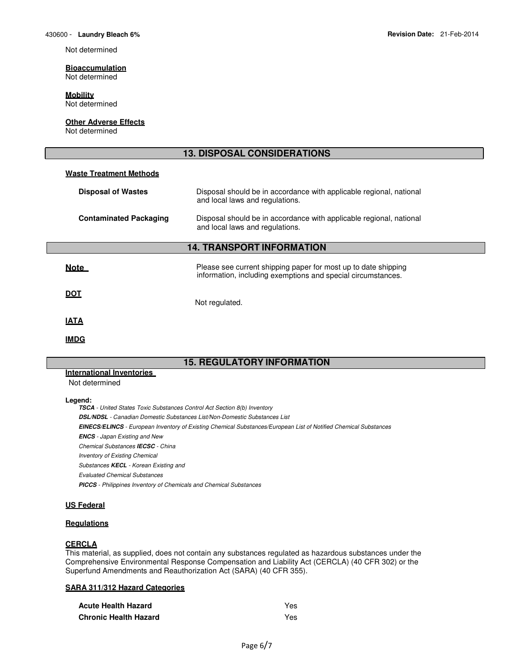Not determined

# **Bioaccumulation**

Not determined

# **Mobility**

Not determined

#### **Other Adverse Effects**

Not determined

# **13. DISPOSAL CONSIDERATIONS Waste Treatment Methods Disposal of Wastes** Disposal should be in accordance with applicable regional, national and local laws and regulations. **Contaminated Packaging** Disposal should be in accordance with applicable regional, national and local laws and regulations. **14. TRANSPORT INFORMATION Note Please see current shipping paper for most up to date shipping values** information, including exemptions and special circumstances. **DOT**  Not regulated. **IATA IMDG**

# **15. REGULATORY INFORMATION**

# **International Inventories**

Not determined

#### **Legend:**

**TSCA** - United States Toxic Substances Control Act Section 8(b) Inventory **DSL/NDSL** - Canadian Domestic Substances List/Non-Domestic Substances List **EINECS/ELINCS** - European Inventory of Existing Chemical Substances/European List of Notified Chemical Substances **ENCS** - Japan Existing and New Chemical Substances **IECSC** - China Inventory of Existing Chemical Substances **KECL** - Korean Existing and Evaluated Chemical Substances **PICCS** - Philippines Inventory of Chemicals and Chemical Substances

#### **US Federal**

# **Regulations**

#### **CERCLA**

This material, as supplied, does not contain any substances regulated as hazardous substances under the Comprehensive Environmental Response Compensation and Liability Act (CERCLA) (40 CFR 302) or the Superfund Amendments and Reauthorization Act (SARA) (40 CFR 355).

#### **SARA 311/312 Hazard Categories**

| <b>Acute Health Hazard</b>   | Yes  |
|------------------------------|------|
| <b>Chronic Health Hazard</b> | Yes. |